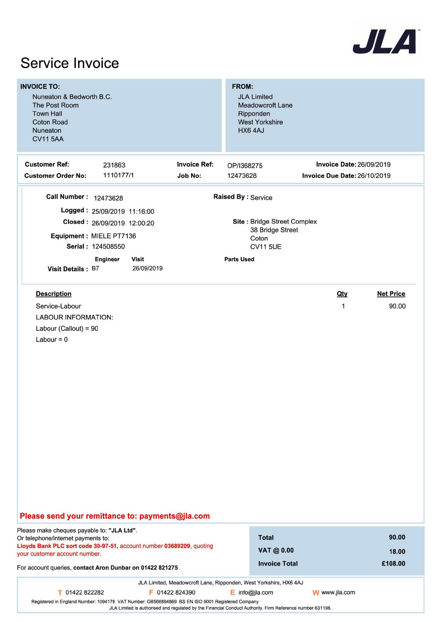

| <b>INVOICE TO:</b><br>Nuneaton & Bedworth B.C.<br>The Post Room<br><b>Town Hall</b><br><b>Coton Road</b><br>Nuneaton<br><b>CV11 5AA</b>                                                                                                               |                                                                                                                                                              |                                       | FROM:<br><b>JLA Limited</b><br><b>Meadowcroft Lane</b><br>Ripponden<br><b>West Yorkshire</b><br>HX6 4AJ                       |                                                                 |                           |
|-------------------------------------------------------------------------------------------------------------------------------------------------------------------------------------------------------------------------------------------------------|--------------------------------------------------------------------------------------------------------------------------------------------------------------|---------------------------------------|-------------------------------------------------------------------------------------------------------------------------------|-----------------------------------------------------------------|---------------------------|
| <b>Customer Ref:</b><br><b>Customer Order No:</b>                                                                                                                                                                                                     | 231863<br>1110177/1                                                                                                                                          | <b>Invoice Ref:</b><br><b>Job No:</b> | OP/I368275<br>12473628                                                                                                        | <b>Invoice Date: 26/09/2019</b><br>Invoice Due Date: 26/10/2019 |                           |
| Call Number: 12473628<br><b>Visit Details: B7</b><br><b>Description</b><br>Service-Labour<br><b>LABOUR INFORMATION:</b><br>Labour (Callout) = 90<br>Labour = $0$                                                                                      | Logged: 25/09/2019 11:16:00<br>Closed: 26/09/2019 12:00:20<br>Equipment : MIELE PT7136<br>Serial: 124508550<br><b>Engineer</b><br><b>Visit</b><br>26/09/2019 |                                       | <b>Raised By: Service</b><br>Site: Bridge Street Complex<br>38 Bridge Street<br>Coton<br><b>CV11 5UE</b><br><b>Parts Used</b> | Qty<br>$\mathbf{1}$                                             | <b>Net Price</b><br>90.00 |
| Please send your remittance to: payments@jla.com                                                                                                                                                                                                      |                                                                                                                                                              |                                       |                                                                                                                               |                                                                 |                           |
| Please make cheques payable to: "JLA Ltd".<br>Or telephone/internet payments to:<br>Lloyds Bank PLC sort code 30-97-51, account number 03689209, quoting<br>your customer account number.<br>For account queries, contact Aron Dunbar on 01422 821275 |                                                                                                                                                              |                                       | <b>Total</b><br>VAT @ 0.00<br><b>Invoice Total</b>                                                                            |                                                                 | 90.00<br>18.00<br>£108.00 |
| T 01422 822282                                                                                                                                                                                                                                        | Registered in England Number: 1094178 VAT Number: GB566894869 BS EN ISO 9001 Registered Company                                                              | F 01422 824390                        | JLA Limited, Meadowcroft Lane, Ripponden, West Yorkshire, HX6 4AJ<br>$E$ info@jla.com                                         | W www.jla.com                                                   |                           |

JLA Limited is authorised and regulated by the Financial Conduct Authority. Firm Reference number 631198.